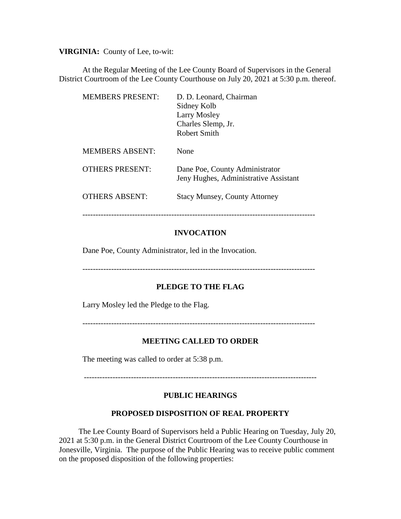**VIRGINIA:** County of Lee, to-wit:

At the Regular Meeting of the Lee County Board of Supervisors in the General District Courtroom of the Lee County Courthouse on July 20, 2021 at 5:30 p.m. thereof.

| <b>MEMBERS PRESENT:</b> | D. D. Leonard, Chairman<br>Sidney Kolb<br>Larry Mosley<br>Charles Slemp, Jr.<br>Robert Smith |
|-------------------------|----------------------------------------------------------------------------------------------|
| <b>MEMBERS ABSENT:</b>  | None                                                                                         |
| <b>OTHERS PRESENT:</b>  | Dane Poe, County Administrator<br>Jeny Hughes, Administrative Assistant                      |
| <b>OTHERS ABSENT:</b>   | <b>Stacy Munsey, County Attorney</b>                                                         |

## **INVOCATION**

-----------------------------------------------------------------------------------------

Dane Poe, County Administrator, led in the Invocation.

-----------------------------------------------------------------------------------------

## **PLEDGE TO THE FLAG**

Larry Mosley led the Pledge to the Flag.

-----------------------------------------------------------------------------------------

## **MEETING CALLED TO ORDER**

The meeting was called to order at 5:38 p.m.

-----------------------------------------------------------------------------------------

## **PUBLIC HEARINGS**

#### **PROPOSED DISPOSITION OF REAL PROPERTY**

 The Lee County Board of Supervisors held a Public Hearing on Tuesday, July 20, 2021 at 5:30 p.m. in the General District Courtroom of the Lee County Courthouse in Jonesville, Virginia. The purpose of the Public Hearing was to receive public comment on the proposed disposition of the following properties: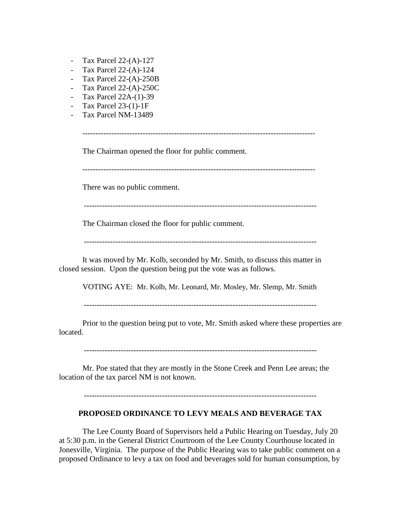- Tax Parcel 22-(A)-127
- Tax Parcel 22-(A)-124
- Tax Parcel 22-(A)-250B
- Tax Parcel 22-(A)-250C
- Tax Parcel 22A-(1)-39
- Tax Parcel 23-(1)-1F
- Tax Parcel NM-13489

-----------------------------------------------------------------------------------------

The Chairman opened the floor for public comment.

-----------------------------------------------------------------------------------------

There was no public comment.

-----------------------------------------------------------------------------------------

The Chairman closed the floor for public comment.

It was moved by Mr. Kolb, seconded by Mr. Smith, to discuss this matter in closed session. Upon the question being put the vote was as follows.

VOTING AYE: Mr. Kolb, Mr. Leonard, Mr. Mosley, Mr. Slemp, Mr. Smith

-----------------------------------------------------------------------------------------

Prior to the question being put to vote, Mr. Smith asked where these properties are located.

-----------------------------------------------------------------------------------------

Mr. Poe stated that they are mostly in the Stone Creek and Penn Lee areas; the location of the tax parcel NM is not known.

-----------------------------------------------------------------------------------------

## **PROPOSED ORDINANCE TO LEVY MEALS AND BEVERAGE TAX**

The Lee County Board of Supervisors held a Public Hearing on Tuesday, July 20 at 5:30 p.m. in the General District Courtroom of the Lee County Courthouse located in Jonesville, Virginia. The purpose of the Public Hearing was to take public comment on a proposed Ordinance to levy a tax on food and beverages sold for human consumption, by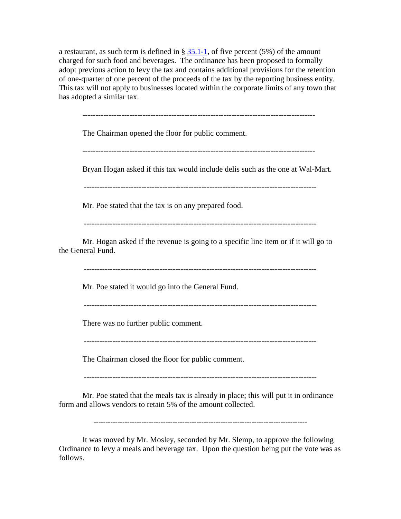a restaurant, as such term is defined in §  $35.1-1$ , of five percent (5%) of the amount charged for such food and beverages. The ordinance has been proposed to formally adopt previous action to levy the tax and contains additional provisions for the retention of one-quarter of one percent of the proceeds of the tax by the reporting business entity. This tax will not apply to businesses located within the corporate limits of any town that has adopted a similar tax.

The Chairman opened the floor for public comment.

-----------------------------------------------------------------------------------------

Bryan Hogan asked if this tax would include delis such as the one at Wal-Mart.

Mr. Poe stated that the tax is on any prepared food.

-----------------------------------------------------------------------------------------

Mr. Hogan asked if the revenue is going to a specific line item or if it will go to the General Fund.

-----------------------------------------------------------------------------------------

Mr. Poe stated it would go into the General Fund.

-----------------------------------------------------------------------------------------

There was no further public comment.

-----------------------------------------------------------------------------------------

The Chairman closed the floor for public comment.

-----------------------------------------------------------------------------------------

Mr. Poe stated that the meals tax is already in place; this will put it in ordinance form and allows vendors to retain 5% of the amount collected.

-----------------------------------------------------------------------------------------

It was moved by Mr. Mosley, seconded by Mr. Slemp, to approve the following Ordinance to levy a meals and beverage tax. Upon the question being put the vote was as follows.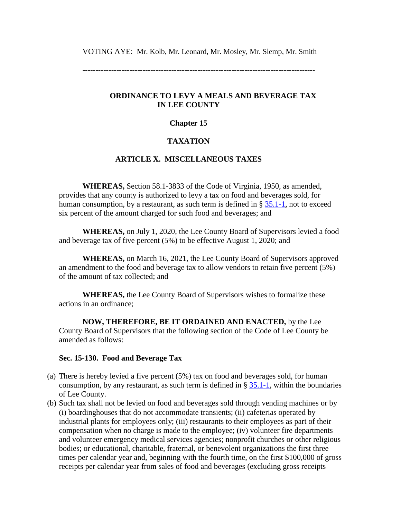VOTING AYE: Mr. Kolb, Mr. Leonard, Mr. Mosley, Mr. Slemp, Mr. Smith

-----------------------------------------------------------------------------------------

### **ORDINANCE TO LEVY A MEALS AND BEVERAGE TAX IN LEE COUNTY**

### **Chapter 15**

## **TAXATION**

## **ARTICLE X. MISCELLANEOUS TAXES**

**WHEREAS,** Section 58.1-3833 of the Code of Virginia, 1950, as amended, provides that any county is authorized to levy a tax on food and beverages sold, for human consumption, by a restaurant, as such term is defined in  $\S 35.1-1$ , not to exceed six percent of the amount charged for such food and beverages; and

**WHEREAS,** on July 1, 2020, the Lee County Board of Supervisors levied a food and beverage tax of five percent (5%) to be effective August 1, 2020; and

**WHEREAS,** on March 16, 2021, the Lee County Board of Supervisors approved an amendment to the food and beverage tax to allow vendors to retain five percent (5%) of the amount of tax collected; and

**WHEREAS,** the Lee County Board of Supervisors wishes to formalize these actions in an ordinance;

**NOW, THEREFORE, BE IT ORDAINED AND ENACTED,** by the Lee County Board of Supervisors that the following section of the Code of Lee County be amended as follows:

#### **Sec. 15-130. Food and Beverage Tax**

- (a) There is hereby levied a five percent (5%) tax on food and beverages sold, for human consumption, by any restaurant, as such term is defined in  $\S 35.1-1$ , within the boundaries of Lee County.
- (b) Such tax shall not be levied on food and beverages sold through vending machines or by (i) boardinghouses that do not accommodate transients; (ii) cafeterias operated by industrial plants for employees only; (iii) restaurants to their employees as part of their compensation when no charge is made to the employee; (iv) volunteer fire departments and volunteer emergency medical services agencies; nonprofit churches or other religious bodies; or educational, charitable, fraternal, or benevolent organizations the first three times per calendar year and, beginning with the fourth time, on the first \$100,000 of gross receipts per calendar year from sales of food and beverages (excluding gross receipts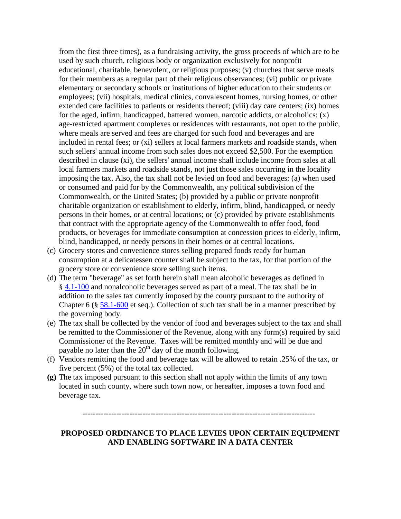from the first three times), as a fundraising activity, the gross proceeds of which are to be used by such church, religious body or organization exclusively for nonprofit educational, charitable, benevolent, or religious purposes; (v) churches that serve meals for their members as a regular part of their religious observances; (vi) public or private elementary or secondary schools or institutions of higher education to their students or employees; (vii) hospitals, medical clinics, convalescent homes, nursing homes, or other extended care facilities to patients or residents thereof; (viii) day care centers; (ix) homes for the aged, infirm, handicapped, battered women, narcotic addicts, or alcoholics; (x) age-restricted apartment complexes or residences with restaurants, not open to the public, where meals are served and fees are charged for such food and beverages and are included in rental fees; or (xi) sellers at local farmers markets and roadside stands, when such sellers' annual income from such sales does not exceed \$2,500. For the exemption described in clause (xi), the sellers' annual income shall include income from sales at all local farmers markets and roadside stands, not just those sales occurring in the locality imposing the tax. Also, the tax shall not be levied on food and beverages: (a) when used or consumed and paid for by the Commonwealth, any political subdivision of the Commonwealth, or the United States; (b) provided by a public or private nonprofit charitable organization or establishment to elderly, infirm, blind, handicapped, or needy persons in their homes, or at central locations; or (c) provided by private establishments that contract with the appropriate agency of the Commonwealth to offer food, food products, or beverages for immediate consumption at concession prices to elderly, infirm, blind, handicapped, or needy persons in their homes or at central locations.

- (c) Grocery stores and convenience stores selling prepared foods ready for human consumption at a delicatessen counter shall be subject to the tax, for that portion of the grocery store or convenience store selling such items.
- (d) The term "beverage" as set forth herein shall mean alcoholic beverages as defined in § [4.1-100](https://law.lis.virginia.gov/vacode/4.1-100/) and nonalcoholic beverages served as part of a meal. The tax shall be in addition to the sales tax currently imposed by the county pursuant to the authority of Chapter 6 ( $\S 58.1-600$  $\S 58.1-600$  et seq.). Collection of such tax shall be in a manner prescribed by the governing body.
- (e) The tax shall be collected by the vendor of food and beverages subject to the tax and shall be remitted to the Commissioner of the Revenue, along with any form(s) required by said Commissioner of the Revenue. Taxes will be remitted monthly and will be due and payable no later than the  $20<sup>th</sup>$  day of the month following.
- (f) Vendors remitting the food and beverage tax will be allowed to retain .25% of the tax, or five percent (5%) of the total tax collected.
- **(g)** The tax imposed pursuant to this section shall not apply within the limits of any town located in such county, where such town now, or hereafter, imposes a town food and beverage tax.

-----------------------------------------------------------------------------------------

## **PROPOSED ORDINANCE TO PLACE LEVIES UPON CERTAIN EQUIPMENT AND ENABLING SOFTWARE IN A DATA CENTER**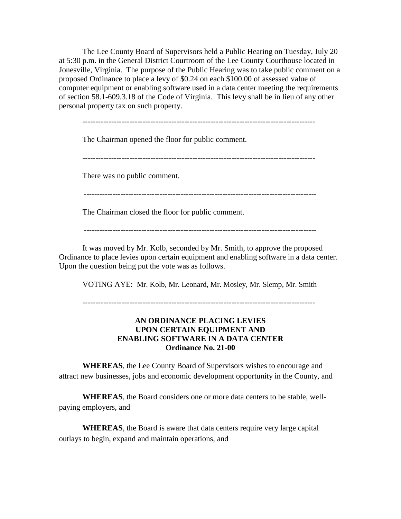The Lee County Board of Supervisors held a Public Hearing on Tuesday, July 20 at 5:30 p.m. in the General District Courtroom of the Lee County Courthouse located in Jonesville, Virginia. The purpose of the Public Hearing was to take public comment on a proposed Ordinance to place a levy of \$0.24 on each \$100.00 of assessed value of computer equipment or enabling software used in a data center meeting the requirements of section 58.1-609.3.18 of the Code of Virginia. This levy shall be in lieu of any other personal property tax on such property.

-----------------------------------------------------------------------------------------

The Chairman opened the floor for public comment.

-----------------------------------------------------------------------------------------

There was no public comment.

-----------------------------------------------------------------------------------------

The Chairman closed the floor for public comment.

It was moved by Mr. Kolb, seconded by Mr. Smith, to approve the proposed Ordinance to place levies upon certain equipment and enabling software in a data center. Upon the question being put the vote was as follows.

VOTING AYE: Mr. Kolb, Mr. Leonard, Mr. Mosley, Mr. Slemp, Mr. Smith

-----------------------------------------------------------------------------------------

## **AN ORDINANCE PLACING LEVIES UPON CERTAIN EQUIPMENT AND ENABLING SOFTWARE IN A DATA CENTER Ordinance No. 21-00**

**WHEREAS**, the Lee County Board of Supervisors wishes to encourage and attract new businesses, jobs and economic development opportunity in the County, and

**WHEREAS**, the Board considers one or more data centers to be stable, wellpaying employers, and

**WHEREAS**, the Board is aware that data centers require very large capital outlays to begin, expand and maintain operations, and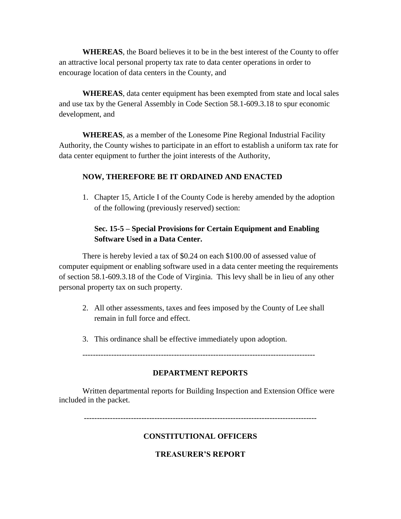**WHEREAS**, the Board believes it to be in the best interest of the County to offer an attractive local personal property tax rate to data center operations in order to encourage location of data centers in the County, and

**WHEREAS**, data center equipment has been exempted from state and local sales and use tax by the General Assembly in Code Section 58.1-609.3.18 to spur economic development, and

**WHEREAS**, as a member of the Lonesome Pine Regional Industrial Facility Authority, the County wishes to participate in an effort to establish a uniform tax rate for data center equipment to further the joint interests of the Authority,

## **NOW, THEREFORE BE IT ORDAINED AND ENACTED**

1. Chapter 15, Article I of the County Code is hereby amended by the adoption of the following (previously reserved) section:

# **Sec. 15-5 – Special Provisions for Certain Equipment and Enabling Software Used in a Data Center.**

There is hereby levied a tax of \$0.24 on each \$100.00 of assessed value of computer equipment or enabling software used in a data center meeting the requirements of section 58.1-609.3.18 of the Code of Virginia. This levy shall be in lieu of any other personal property tax on such property.

- 2. All other assessments, taxes and fees imposed by the County of Lee shall remain in full force and effect.
- 3. This ordinance shall be effective immediately upon adoption.

-----------------------------------------------------------------------------------------

## **DEPARTMENT REPORTS**

Written departmental reports for Building Inspection and Extension Office were included in the packet.

-----------------------------------------------------------------------------------------

## **CONSTITUTIONAL OFFICERS**

## **TREASURER'S REPORT**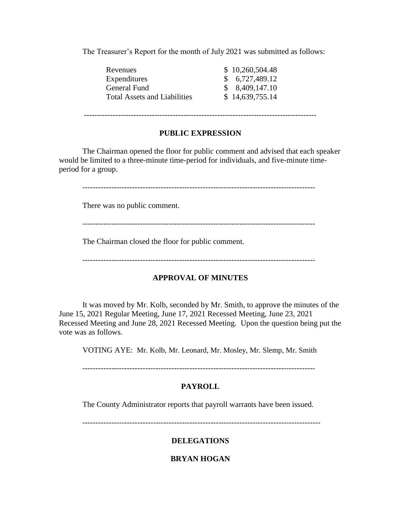The Treasurer's Report for the month of July 2021 was submitted as follows:

| Revenues                            | \$10,260,504.48 |
|-------------------------------------|-----------------|
| Expenditures                        | \$6,727,489.12  |
| General Fund                        | \$8,409,147.10  |
| <b>Total Assets and Liabilities</b> | \$14,639,755.14 |

-----------------------------------------------------------------------------------------

### **PUBLIC EXPRESSION**

The Chairman opened the floor for public comment and advised that each speaker would be limited to a three-minute time-period for individuals, and five-minute timeperiod for a group.

-----------------------------------------------------------------------------------------

There was no public comment.

-----------------------------------------------------------------------------------------

The Chairman closed the floor for public comment.

-----------------------------------------------------------------------------------------

## **APPROVAL OF MINUTES**

It was moved by Mr. Kolb, seconded by Mr. Smith, to approve the minutes of the June 15, 2021 Regular Meeting, June 17, 2021 Recessed Meeting, June 23, 2021 Recessed Meeting and June 28, 2021 Recessed Meeting. Upon the question being put the vote was as follows.

VOTING AYE: Mr. Kolb, Mr. Leonard, Mr. Mosley, Mr. Slemp, Mr. Smith

-----------------------------------------------------------------------------------------

## **PAYROLL**

The County Administrator reports that payroll warrants have been issued.

-------------------------------------------------------------------------------------------

## **DELEGATIONS**

## **BRYAN HOGAN**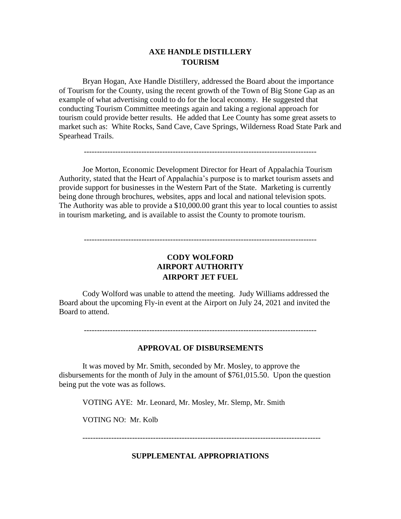## **AXE HANDLE DISTILLERY TOURISM**

Bryan Hogan, Axe Handle Distillery, addressed the Board about the importance of Tourism for the County, using the recent growth of the Town of Big Stone Gap as an example of what advertising could to do for the local economy. He suggested that conducting Tourism Committee meetings again and taking a regional approach for tourism could provide better results. He added that Lee County has some great assets to market such as: White Rocks, Sand Cave, Cave Springs, Wilderness Road State Park and Spearhead Trails.

Joe Morton, Economic Development Director for Heart of Appalachia Tourism Authority, stated that the Heart of Appalachia's purpose is to market tourism assets and provide support for businesses in the Western Part of the State. Marketing is currently being done through brochures, websites, apps and local and national television spots. The Authority was able to provide a \$10,000.00 grant this year to local counties to assist in tourism marketing, and is available to assist the County to promote tourism.

# **CODY WOLFORD AIRPORT AUTHORITY AIRPORT JET FUEL**

-----------------------------------------------------------------------------------------

Cody Wolford was unable to attend the meeting. Judy Williams addressed the Board about the upcoming Fly-in event at the Airport on July 24, 2021 and invited the Board to attend.

-----------------------------------------------------------------------------------------

#### **APPROVAL OF DISBURSEMENTS**

It was moved by Mr. Smith, seconded by Mr. Mosley, to approve the disbursements for the month of July in the amount of \$761,015.50. Upon the question being put the vote was as follows.

VOTING AYE: Mr. Leonard, Mr. Mosley, Mr. Slemp, Mr. Smith

VOTING NO: Mr. Kolb

-------------------------------------------------------------------------------------------

## **SUPPLEMENTAL APPROPRIATIONS**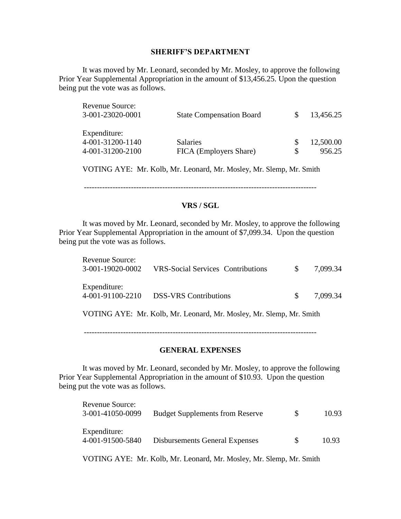### **SHERIFF'S DEPARTMENT**

It was moved by Mr. Leonard, seconded by Mr. Mosley, to approve the following Prior Year Supplemental Appropriation in the amount of \$13,456.25. Upon the question being put the vote was as follows.

| Revenue Source:<br>3-001-23020-0001                  | <b>State Compensation Board</b>           | 13,456.25                 |
|------------------------------------------------------|-------------------------------------------|---------------------------|
| Expenditure:<br>4-001-31200-1140<br>4-001-31200-2100 | <b>Salaries</b><br>FICA (Employers Share) | \$<br>12,500.00<br>956.25 |
|                                                      |                                           |                           |

VOTING AYE: Mr. Kolb, Mr. Leonard, Mr. Mosley, Mr. Slemp, Mr. Smith

-----------------------------------------------------------------------------------------

### **VRS / SGL**

It was moved by Mr. Leonard, seconded by Mr. Mosley, to approve the following Prior Year Supplemental Appropriation in the amount of \$7,099.34. Upon the question being put the vote was as follows.

| <b>Revenue Source:</b><br>3-001-19020-0002 | <b>VRS-Social Services Contributions</b>                            | <sup>S</sup> | 7,099.34 |
|--------------------------------------------|---------------------------------------------------------------------|--------------|----------|
| Expenditure:<br>4-001-91100-2210           | <b>DSS-VRS</b> Contributions                                        | S.           | 7.099.34 |
|                                            | VOTING AYE: Mr. Kolb, Mr. Leonard, Mr. Mosley, Mr. Slemp, Mr. Smith |              |          |

-----------------------------------------------------------------------------------------

## **GENERAL EXPENSES**

It was moved by Mr. Leonard, seconded by Mr. Mosley, to approve the following Prior Year Supplemental Appropriation in the amount of \$10.93. Upon the question being put the vote was as follows.

| <b>Revenue Source:</b><br>3-001-41050-0099 | <b>Budget Supplements from Reserve</b> | £. | 10.93 |
|--------------------------------------------|----------------------------------------|----|-------|
| Expenditure:<br>4-001-91500-5840           | <b>Disbursements General Expenses</b>  | S. | 10.93 |

VOTING AYE: Mr. Kolb, Mr. Leonard, Mr. Mosley, Mr. Slemp, Mr. Smith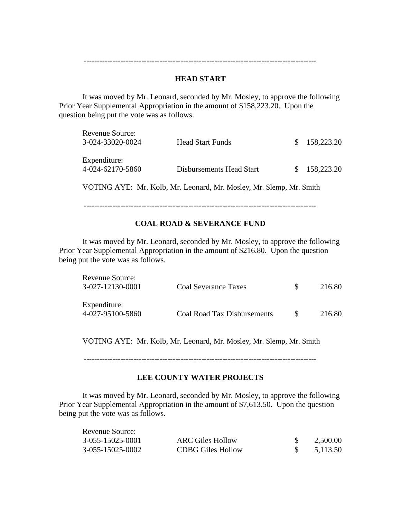-----------------------------------------------------------------------------------------

### **HEAD START**

It was moved by Mr. Leonard, seconded by Mr. Mosley, to approve the following Prior Year Supplemental Appropriation in the amount of \$158,223.20. Upon the question being put the vote was as follows.

| <b>Revenue Source:</b><br>3-024-33020-0024 | <b>Head Start Funds</b>  | \$158,223.20 |
|--------------------------------------------|--------------------------|--------------|
| Expenditure:<br>4-024-62170-5860           | Disbursements Head Start | \$158,223.20 |

VOTING AYE: Mr. Kolb, Mr. Leonard, Mr. Mosley, Mr. Slemp, Mr. Smith

-----------------------------------------------------------------------------------------

### **COAL ROAD & SEVERANCE FUND**

It was moved by Mr. Leonard, seconded by Mr. Mosley, to approve the following Prior Year Supplemental Appropriation in the amount of \$216.80. Upon the question being put the vote was as follows.

| Revenue Source:<br>3-027-12130-0001 | Coal Severance Taxes               | 216.80 |
|-------------------------------------|------------------------------------|--------|
| Expenditure:<br>4-027-95100-5860    | <b>Coal Road Tax Disbursements</b> | 216.80 |

VOTING AYE: Mr. Kolb, Mr. Leonard, Mr. Mosley, Mr. Slemp, Mr. Smith

-----------------------------------------------------------------------------------------

#### **LEE COUNTY WATER PROJECTS**

It was moved by Mr. Leonard, seconded by Mr. Mosley, to approve the following Prior Year Supplemental Appropriation in the amount of \$7,613.50. Upon the question being put the vote was as follows.

| Revenue Source:  |                          |          |
|------------------|--------------------------|----------|
| 3-055-15025-0001 | <b>ARC Giles Hollow</b>  | 2,500.00 |
| 3-055-15025-0002 | <b>CDBG Giles Hollow</b> | 5,113.50 |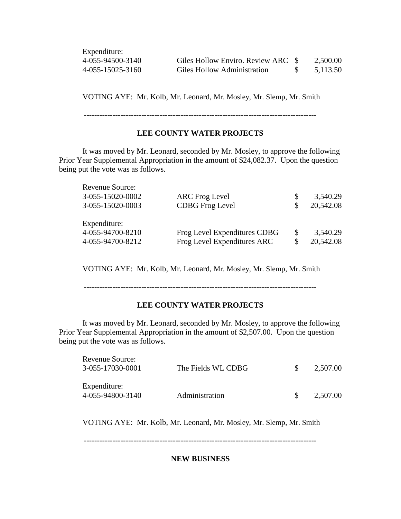| Expenditure:     |                                    |          |
|------------------|------------------------------------|----------|
| 4-055-94500-3140 | Giles Hollow Enviro. Review ARC \$ | 2,500.00 |
| 4-055-15025-3160 | Giles Hollow Administration        | 5.113.50 |

VOTING AYE: Mr. Kolb, Mr. Leonard, Mr. Mosley, Mr. Slemp, Mr. Smith

-----------------------------------------------------------------------------------------

## **LEE COUNTY WATER PROJECTS**

It was moved by Mr. Leonard, seconded by Mr. Mosley, to approve the following Prior Year Supplemental Appropriation in the amount of \$24,082.37. Upon the question being put the vote was as follows.

| Revenue Source:  |                              |               |           |
|------------------|------------------------------|---------------|-----------|
| 3-055-15020-0002 | <b>ARC</b> Frog Level        | S             | 3,540.29  |
| 3-055-15020-0003 | <b>CDBG</b> Frog Level       | S.            | 20,542.08 |
| Expenditure:     |                              |               |           |
| 4-055-94700-8210 | Frog Level Expenditures CDBG | <sup>\$</sup> | 3,540.29  |
| 4-055-94700-8212 | Frog Level Expenditures ARC  | \$            | 20,542.08 |

VOTING AYE: Mr. Kolb, Mr. Leonard, Mr. Mosley, Mr. Slemp, Mr. Smith

-----------------------------------------------------------------------------------------

#### **LEE COUNTY WATER PROJECTS**

It was moved by Mr. Leonard, seconded by Mr. Mosley, to approve the following Prior Year Supplemental Appropriation in the amount of \$2,507.00. Upon the question being put the vote was as follows.

| Revenue Source:<br>3-055-17030-0001 | The Fields WL CDBG | 2,507.00 |
|-------------------------------------|--------------------|----------|
| Expenditure:<br>4-055-94800-3140    | Administration     | 2,507.00 |

VOTING AYE: Mr. Kolb, Mr. Leonard, Mr. Mosley, Mr. Slemp, Mr. Smith

-----------------------------------------------------------------------------------------

**NEW BUSINESS**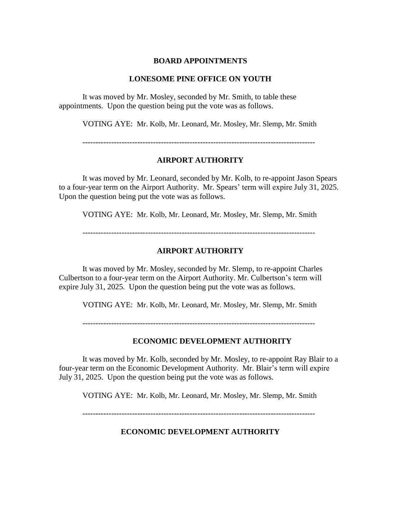#### **BOARD APPOINTMENTS**

#### **LONESOME PINE OFFICE ON YOUTH**

It was moved by Mr. Mosley, seconded by Mr. Smith, to table these appointments. Upon the question being put the vote was as follows.

VOTING AYE: Mr. Kolb, Mr. Leonard, Mr. Mosley, Mr. Slemp, Mr. Smith

-----------------------------------------------------------------------------------------

#### **AIRPORT AUTHORITY**

It was moved by Mr. Leonard, seconded by Mr. Kolb, to re-appoint Jason Spears to a four-year term on the Airport Authority. Mr. Spears' term will expire July 31, 2025. Upon the question being put the vote was as follows.

VOTING AYE: Mr. Kolb, Mr. Leonard, Mr. Mosley, Mr. Slemp, Mr. Smith

-----------------------------------------------------------------------------------------

### **AIRPORT AUTHORITY**

It was moved by Mr. Mosley, seconded by Mr. Slemp, to re-appoint Charles Culbertson to a four-year term on the Airport Authority. Mr. Culbertson's term will expire July 31, 2025. Upon the question being put the vote was as follows.

VOTING AYE: Mr. Kolb, Mr. Leonard, Mr. Mosley, Mr. Slemp, Mr. Smith

-----------------------------------------------------------------------------------------

### **ECONOMIC DEVELOPMENT AUTHORITY**

It was moved by Mr. Kolb, seconded by Mr. Mosley, to re-appoint Ray Blair to a four-year term on the Economic Development Authority. Mr. Blair's term will expire July 31, 2025. Upon the question being put the vote was as follows.

VOTING AYE: Mr. Kolb, Mr. Leonard, Mr. Mosley, Mr. Slemp, Mr. Smith

-----------------------------------------------------------------------------------------

#### **ECONOMIC DEVELOPMENT AUTHORITY**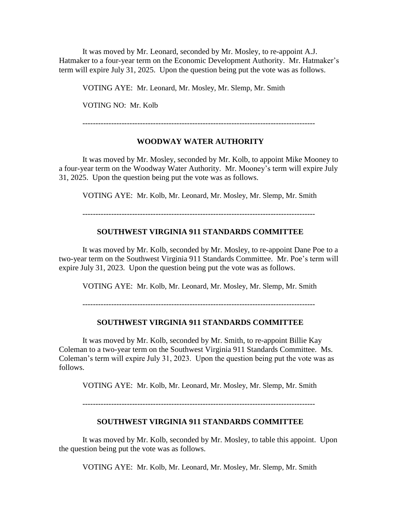It was moved by Mr. Leonard, seconded by Mr. Mosley, to re-appoint A.J. Hatmaker to a four-year term on the Economic Development Authority. Mr. Hatmaker's term will expire July 31, 2025. Upon the question being put the vote was as follows.

VOTING AYE: Mr. Leonard, Mr. Mosley, Mr. Slemp, Mr. Smith

VOTING NO: Mr. Kolb

-----------------------------------------------------------------------------------------

### **WOODWAY WATER AUTHORITY**

It was moved by Mr. Mosley, seconded by Mr. Kolb, to appoint Mike Mooney to a four-year term on the Woodway Water Authority. Mr. Mooney's term will expire July 31, 2025. Upon the question being put the vote was as follows.

VOTING AYE: Mr. Kolb, Mr. Leonard, Mr. Mosley, Mr. Slemp, Mr. Smith

-----------------------------------------------------------------------------------------

### **SOUTHWEST VIRGINIA 911 STANDARDS COMMITTEE**

It was moved by Mr. Kolb, seconded by Mr. Mosley, to re-appoint Dane Poe to a two-year term on the Southwest Virginia 911 Standards Committee. Mr. Poe's term will expire July 31, 2023. Upon the question being put the vote was as follows.

VOTING AYE: Mr. Kolb, Mr. Leonard, Mr. Mosley, Mr. Slemp, Mr. Smith

-----------------------------------------------------------------------------------------

#### **SOUTHWEST VIRGINIA 911 STANDARDS COMMITTEE**

It was moved by Mr. Kolb, seconded by Mr. Smith, to re-appoint Billie Kay Coleman to a two-year term on the Southwest Virginia 911 Standards Committee. Ms. Coleman's term will expire July 31, 2023. Upon the question being put the vote was as follows.

VOTING AYE: Mr. Kolb, Mr. Leonard, Mr. Mosley, Mr. Slemp, Mr. Smith

-----------------------------------------------------------------------------------------

### **SOUTHWEST VIRGINIA 911 STANDARDS COMMITTEE**

It was moved by Mr. Kolb, seconded by Mr. Mosley, to table this appoint. Upon the question being put the vote was as follows.

VOTING AYE: Mr. Kolb, Mr. Leonard, Mr. Mosley, Mr. Slemp, Mr. Smith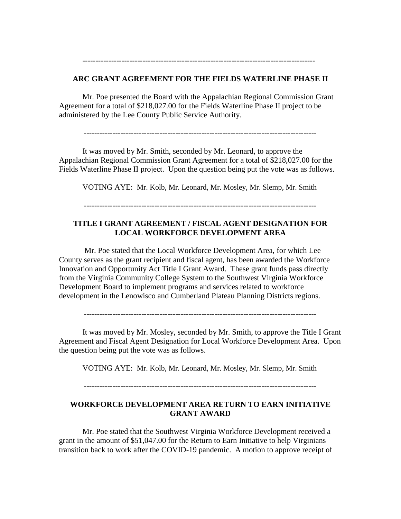#### **ARC GRANT AGREEMENT FOR THE FIELDS WATERLINE PHASE II**

-----------------------------------------------------------------------------------------

Mr. Poe presented the Board with the Appalachian Regional Commission Grant Agreement for a total of \$218,027.00 for the Fields Waterline Phase II project to be administered by the Lee County Public Service Authority.

-----------------------------------------------------------------------------------------

It was moved by Mr. Smith, seconded by Mr. Leonard, to approve the Appalachian Regional Commission Grant Agreement for a total of \$218,027.00 for the Fields Waterline Phase II project. Upon the question being put the vote was as follows.

VOTING AYE: Mr. Kolb, Mr. Leonard, Mr. Mosley, Mr. Slemp, Mr. Smith

## **TITLE I GRANT AGREEMENT / FISCAL AGENT DESIGNATION FOR LOCAL WORKFORCE DEVELOPMENT AREA**

Mr. Poe stated that the Local Workforce Development Area, for which Lee County serves as the grant recipient and fiscal agent, has been awarded the Workforce Innovation and Opportunity Act Title I Grant Award. These grant funds pass directly from the Virginia Community College System to the Southwest Virginia Workforce Development Board to implement programs and services related to workforce development in the Lenowisco and Cumberland Plateau Planning Districts regions.

-----------------------------------------------------------------------------------------

It was moved by Mr. Mosley, seconded by Mr. Smith, to approve the Title I Grant Agreement and Fiscal Agent Designation for Local Workforce Development Area. Upon the question being put the vote was as follows.

VOTING AYE: Mr. Kolb, Mr. Leonard, Mr. Mosley, Mr. Slemp, Mr. Smith

-----------------------------------------------------------------------------------------

## **WORKFORCE DEVELOPMENT AREA RETURN TO EARN INITIATIVE GRANT AWARD**

Mr. Poe stated that the Southwest Virginia Workforce Development received a grant in the amount of \$51,047.00 for the Return to Earn Initiative to help Virginians transition back to work after the COVID-19 pandemic. A motion to approve receipt of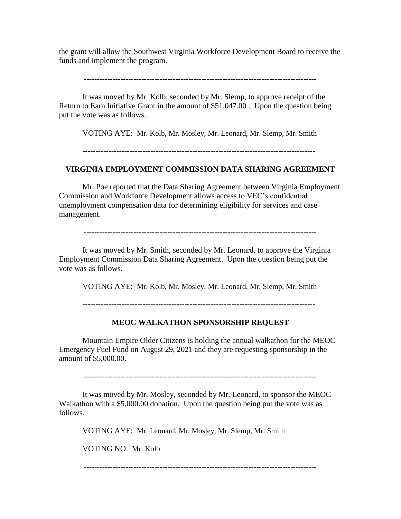the grant will allow the Southwest Virginia Workforce Development Board to receive the funds and implement the program.

-----------------------------------------------------------------------------------------

It was moved by Mr. Kolb, seconded by Mr. Slemp, to approve receipt of the Return to Earn Initiative Grant in the amount of \$51,047.00 . Upon the question being put the vote was as follows.

VOTING AYE: Mr. Kolb, Mr. Mosley, Mr. Leonard, Mr. Slemp, Mr. Smith

-----------------------------------------------------------------------------------------

### **VIRGINIA EMPLOYMENT COMMISSION DATA SHARING AGREEMENT**

Mr. Poe reported that the Data Sharing Agreement between Virginia Employment Commission and Workforce Development allows access to VEC's confidential unemployment compensation data for determining eligibility for services and case management.

-----------------------------------------------------------------------------------------

It was moved by Mr. Smith, seconded by Mr. Leonard, to approve the Virginia Employment Commission Data Sharing Agreement. Upon the question being put the vote was as follows.

VOTING AYE: Mr. Kolb, Mr. Mosley, Mr. Leonard, Mr. Slemp, Mr. Smith

-----------------------------------------------------------------------------------------

#### **MEOC WALKATHON SPONSORSHIP REQUEST**

Mountain Empire Older Citizens is holding the annual walkathon for the MEOC Emergency Fuel Fund on August 29, 2021 and they are requesting sponsorship in the amount of \$5,000.00.

-----------------------------------------------------------------------------------------

It was moved by Mr. Mosley, seconded by Mr. Leonard, to sponsor the MEOC Walkathon with a \$5,000.00 donation. Upon the question being put the vote was as follows.

VOTING AYE: Mr. Leonard, Mr. Mosley, Mr. Slemp, Mr. Smith

VOTING NO: Mr. Kolb

-----------------------------------------------------------------------------------------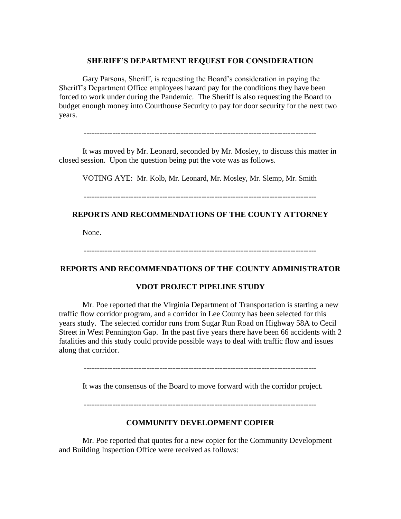#### **SHERIFF'S DEPARTMENT REQUEST FOR CONSIDERATION**

Gary Parsons, Sheriff, is requesting the Board's consideration in paying the Sheriff's Department Office employees hazard pay for the conditions they have been forced to work under during the Pandemic. The Sheriff is also requesting the Board to budget enough money into Courthouse Security to pay for door security for the next two years.

-----------------------------------------------------------------------------------------

It was moved by Mr. Leonard, seconded by Mr. Mosley, to discuss this matter in closed session. Upon the question being put the vote was as follows.

VOTING AYE: Mr. Kolb, Mr. Leonard, Mr. Mosley, Mr. Slemp, Mr. Smith

## **REPORTS AND RECOMMENDATIONS OF THE COUNTY ATTORNEY**

None.

-----------------------------------------------------------------------------------------

#### **REPORTS AND RECOMMENDATIONS OF THE COUNTY ADMINISTRATOR**

### **VDOT PROJECT PIPELINE STUDY**

Mr. Poe reported that the Virginia Department of Transportation is starting a new traffic flow corridor program, and a corridor in Lee County has been selected for this years study. The selected corridor runs from Sugar Run Road on Highway 58A to Cecil Street in West Pennington Gap. In the past five years there have been 66 accidents with 2 fatalities and this study could provide possible ways to deal with traffic flow and issues along that corridor.

-----------------------------------------------------------------------------------------

It was the consensus of the Board to move forward with the corridor project.

-----------------------------------------------------------------------------------------

#### **COMMUNITY DEVELOPMENT COPIER**

Mr. Poe reported that quotes for a new copier for the Community Development and Building Inspection Office were received as follows: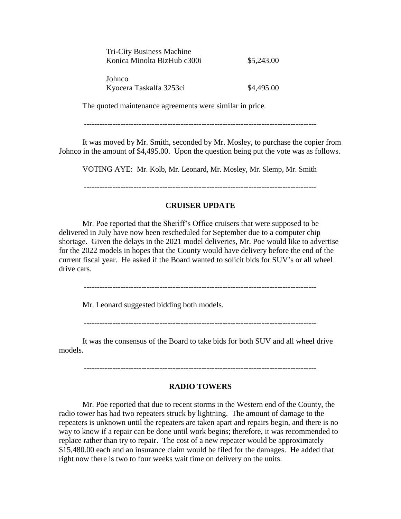| <b>Tri-City Business Machine</b><br>Konica Minolta BizHub c300i | \$5,243.00 |
|-----------------------------------------------------------------|------------|
| Johnco<br>Kyocera Taskalfa 3253ci                               | \$4,495.00 |

The quoted maintenance agreements were similar in price.

-----------------------------------------------------------------------------------------

It was moved by Mr. Smith, seconded by Mr. Mosley, to purchase the copier from Johnco in the amount of \$4,495.00. Upon the question being put the vote was as follows.

VOTING AYE: Mr. Kolb, Mr. Leonard, Mr. Mosley, Mr. Slemp, Mr. Smith

-----------------------------------------------------------------------------------------

#### **CRUISER UPDATE**

Mr. Poe reported that the Sheriff's Office cruisers that were supposed to be delivered in July have now been rescheduled for September due to a computer chip shortage. Given the delays in the 2021 model deliveries, Mr. Poe would like to advertise for the 2022 models in hopes that the County would have delivery before the end of the current fiscal year. He asked if the Board wanted to solicit bids for SUV's or all wheel drive cars.

-----------------------------------------------------------------------------------------

Mr. Leonard suggested bidding both models.

-----------------------------------------------------------------------------------------

It was the consensus of the Board to take bids for both SUV and all wheel drive models.

-----------------------------------------------------------------------------------------

#### **RADIO TOWERS**

Mr. Poe reported that due to recent storms in the Western end of the County, the radio tower has had two repeaters struck by lightning. The amount of damage to the repeaters is unknown until the repeaters are taken apart and repairs begin, and there is no way to know if a repair can be done until work begins; therefore, it was recommended to replace rather than try to repair. The cost of a new repeater would be approximately \$15,480.00 each and an insurance claim would be filed for the damages. He added that right now there is two to four weeks wait time on delivery on the units.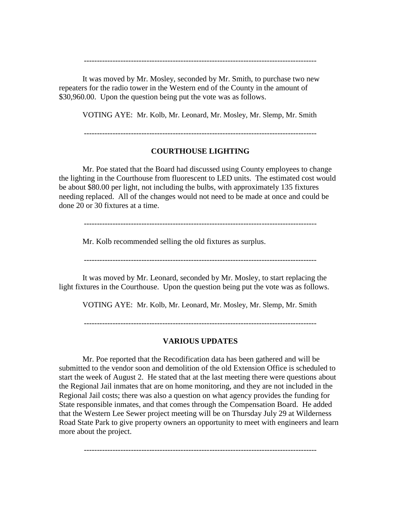It was moved by Mr. Mosley, seconded by Mr. Smith, to purchase two new repeaters for the radio tower in the Western end of the County in the amount of \$30,960.00. Upon the question being put the vote was as follows.

VOTING AYE: Mr. Kolb, Mr. Leonard, Mr. Mosley, Mr. Slemp, Mr. Smith

-----------------------------------------------------------------------------------------

-----------------------------------------------------------------------------------------

## **COURTHOUSE LIGHTING**

Mr. Poe stated that the Board had discussed using County employees to change the lighting in the Courthouse from fluorescent to LED units. The estimated cost would be about \$80.00 per light, not including the bulbs, with approximately 135 fixtures needing replaced. All of the changes would not need to be made at once and could be done 20 or 30 fixtures at a time.

-----------------------------------------------------------------------------------------

Mr. Kolb recommended selling the old fixtures as surplus.

-----------------------------------------------------------------------------------------

It was moved by Mr. Leonard, seconded by Mr. Mosley, to start replacing the light fixtures in the Courthouse. Upon the question being put the vote was as follows.

VOTING AYE: Mr. Kolb, Mr. Leonard, Mr. Mosley, Mr. Slemp, Mr. Smith

-----------------------------------------------------------------------------------------

#### **VARIOUS UPDATES**

Mr. Poe reported that the Recodification data has been gathered and will be submitted to the vendor soon and demolition of the old Extension Office is scheduled to start the week of August 2. He stated that at the last meeting there were questions about the Regional Jail inmates that are on home monitoring, and they are not included in the Regional Jail costs; there was also a question on what agency provides the funding for State responsible inmates, and that comes through the Compensation Board. He added that the Western Lee Sewer project meeting will be on Thursday July 29 at Wilderness Road State Park to give property owners an opportunity to meet with engineers and learn more about the project.

-----------------------------------------------------------------------------------------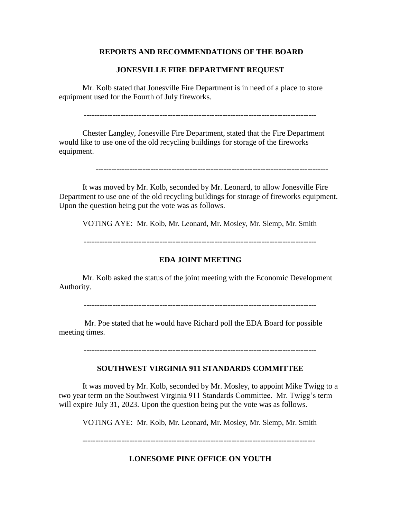### **REPORTS AND RECOMMENDATIONS OF THE BOARD**

### **JONESVILLE FIRE DEPARTMENT REQUEST**

Mr. Kolb stated that Jonesville Fire Department is in need of a place to store equipment used for the Fourth of July fireworks.

-----------------------------------------------------------------------------------------

Chester Langley, Jonesville Fire Department, stated that the Fire Department would like to use one of the old recycling buildings for storage of the fireworks equipment.

-----------------------------------------------------------------------------------------

It was moved by Mr. Kolb, seconded by Mr. Leonard, to allow Jonesville Fire Department to use one of the old recycling buildings for storage of fireworks equipment. Upon the question being put the vote was as follows.

VOTING AYE: Mr. Kolb, Mr. Leonard, Mr. Mosley, Mr. Slemp, Mr. Smith

-----------------------------------------------------------------------------------------

#### **EDA JOINT MEETING**

Mr. Kolb asked the status of the joint meeting with the Economic Development Authority.

-----------------------------------------------------------------------------------------

Mr. Poe stated that he would have Richard poll the EDA Board for possible meeting times.

-----------------------------------------------------------------------------------------

## **SOUTHWEST VIRGINIA 911 STANDARDS COMMITTEE**

It was moved by Mr. Kolb, seconded by Mr. Mosley, to appoint Mike Twigg to a two year term on the Southwest Virginia 911 Standards Committee. Mr. Twigg's term will expire July 31, 2023. Upon the question being put the vote was as follows.

VOTING AYE: Mr. Kolb, Mr. Leonard, Mr. Mosley, Mr. Slemp, Mr. Smith

-----------------------------------------------------------------------------------------

#### **LONESOME PINE OFFICE ON YOUTH**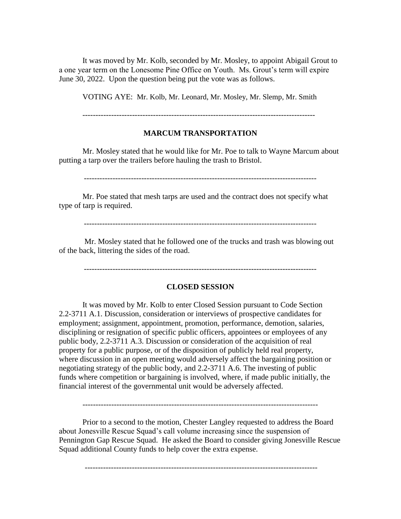It was moved by Mr. Kolb, seconded by Mr. Mosley, to appoint Abigail Grout to a one year term on the Lonesome Pine Office on Youth. Ms. Grout's term will expire June 30, 2022. Upon the question being put the vote was as follows.

VOTING AYE: Mr. Kolb, Mr. Leonard, Mr. Mosley, Mr. Slemp, Mr. Smith

-----------------------------------------------------------------------------------------

### **MARCUM TRANSPORTATION**

Mr. Mosley stated that he would like for Mr. Poe to talk to Wayne Marcum about putting a tarp over the trailers before hauling the trash to Bristol.

-----------------------------------------------------------------------------------------

Mr. Poe stated that mesh tarps are used and the contract does not specify what type of tarp is required.

-----------------------------------------------------------------------------------------

Mr. Mosley stated that he followed one of the trucks and trash was blowing out of the back, littering the sides of the road.

-----------------------------------------------------------------------------------------

#### **CLOSED SESSION**

It was moved by Mr. Kolb to enter Closed Session pursuant to Code Section 2.2-3711 A.1. Discussion, consideration or interviews of prospective candidates for employment; assignment, appointment, promotion, performance, demotion, salaries, disciplining or resignation of specific public officers, appointees or employees of any public body, 2.2-3711 A.3. Discussion or consideration of the acquisition of real property for a public purpose, or of the disposition of publicly held real property, where discussion in an open meeting would adversely affect the bargaining position or negotiating strategy of the public body, and 2.2-3711 A.6. The investing of public funds where competition or bargaining is involved, where, if made public initially, the financial interest of the governmental unit would be adversely affected.

Prior to a second to the motion, Chester Langley requested to address the Board about Jonesville Rescue Squad's call volume increasing since the suspension of Pennington Gap Rescue Squad. He asked the Board to consider giving Jonesville Rescue Squad additional County funds to help cover the extra expense.

-----------------------------------------------------------------------------------------

------------------------------------------------------------------------------------------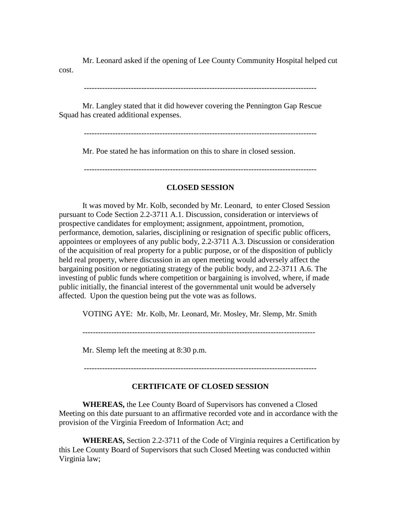Mr. Leonard asked if the opening of Lee County Community Hospital helped cut cost.

-----------------------------------------------------------------------------------------

Mr. Langley stated that it did however covering the Pennington Gap Rescue Squad has created additional expenses.

-----------------------------------------------------------------------------------------

Mr. Poe stated he has information on this to share in closed session.

-----------------------------------------------------------------------------------------

## **CLOSED SESSION**

It was moved by Mr. Kolb, seconded by Mr. Leonard, to enter Closed Session pursuant to Code Section 2.2-3711 A.1. Discussion, consideration or interviews of prospective candidates for employment; assignment, appointment, promotion, performance, demotion, salaries, disciplining or resignation of specific public officers, appointees or employees of any public body, 2.2-3711 A.3. Discussion or consideration of the acquisition of real property for a public purpose, or of the disposition of publicly held real property, where discussion in an open meeting would adversely affect the bargaining position or negotiating strategy of the public body, and 2.2-3711 A.6. The investing of public funds where competition or bargaining is involved, where, if made public initially, the financial interest of the governmental unit would be adversely affected. Upon the question being put the vote was as follows.

VOTING AYE: Mr. Kolb, Mr. Leonard, Mr. Mosley, Mr. Slemp, Mr. Smith

Mr. Slemp left the meeting at 8:30 p.m.

-----------------------------------------------------------------------------------------

## **CERTIFICATE OF CLOSED SESSION**

**WHEREAS,** the Lee County Board of Supervisors has convened a Closed Meeting on this date pursuant to an affirmative recorded vote and in accordance with the provision of the Virginia Freedom of Information Act; and

**WHEREAS,** Section 2.2-3711 of the Code of Virginia requires a Certification by this Lee County Board of Supervisors that such Closed Meeting was conducted within Virginia law;